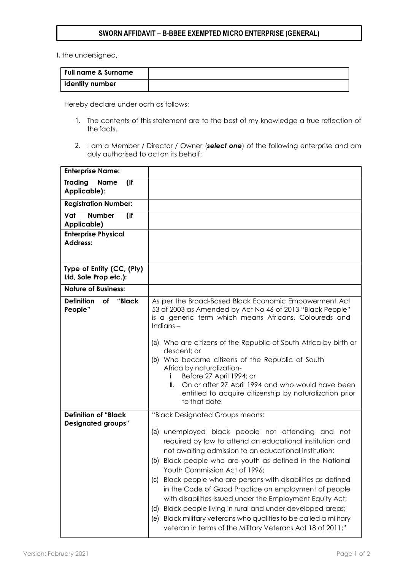## **SWORN AFFIDAVIT – B-BBEE EXEMPTED MICRO ENTERPRISE (GENERAL)**

I, the undersigned,

| <b>Full name &amp; Surname</b> |  |
|--------------------------------|--|
| I Identity number              |  |

Hereby declare under oath as follows:

- 1. The contents of this statement are to the best of my knowledge a true reflection of the facts.
- 2. I am a Member / Director / Owner (*select one*) of the following enterprise and am duly authorised to acton its behalf:

| <b>Enterprise Name:</b>                                 |                                                                                                                                                                                                                                                                                                                                                                                                                                                                                                                                                                                                                                                                       |
|---------------------------------------------------------|-----------------------------------------------------------------------------------------------------------------------------------------------------------------------------------------------------------------------------------------------------------------------------------------------------------------------------------------------------------------------------------------------------------------------------------------------------------------------------------------------------------------------------------------------------------------------------------------------------------------------------------------------------------------------|
| <b>Trading</b><br><b>Name</b><br>$($ lf<br>Applicable): |                                                                                                                                                                                                                                                                                                                                                                                                                                                                                                                                                                                                                                                                       |
| <b>Registration Number:</b>                             |                                                                                                                                                                                                                                                                                                                                                                                                                                                                                                                                                                                                                                                                       |
| Vat<br><b>Number</b><br>$($ lf<br>Applicable)           |                                                                                                                                                                                                                                                                                                                                                                                                                                                                                                                                                                                                                                                                       |
| <b>Enterprise Physical</b><br><b>Address:</b>           |                                                                                                                                                                                                                                                                                                                                                                                                                                                                                                                                                                                                                                                                       |
| Type of Entity (CC, (Pty)<br>Ltd, Sole Prop etc.):      |                                                                                                                                                                                                                                                                                                                                                                                                                                                                                                                                                                                                                                                                       |
| <b>Nature of Business:</b>                              |                                                                                                                                                                                                                                                                                                                                                                                                                                                                                                                                                                                                                                                                       |
| <b>Definition</b><br>of<br>"Black<br>People"            | As per the Broad-Based Black Economic Empowerment Act<br>53 of 2003 as Amended by Act No 46 of 2013 "Black People"<br>is a generic term which means Africans, Coloureds and<br>Indians $-$<br>(a) Who are citizens of the Republic of South Africa by birth or<br>descent; or<br>(b) Who became citizens of the Republic of South<br>Africa by naturalization-                                                                                                                                                                                                                                                                                                        |
|                                                         | Before 27 April 1994; or<br>i.<br>On or after 27 April 1994 and who would have been<br>Îİ.<br>entitled to acquire citizenship by naturalization prior<br>to that date                                                                                                                                                                                                                                                                                                                                                                                                                                                                                                 |
| <b>Definition of "Black</b>                             | "Black Designated Groups means:                                                                                                                                                                                                                                                                                                                                                                                                                                                                                                                                                                                                                                       |
| <b>Designated groups"</b>                               | (a) unemployed black people not attending and not<br>required by law to attend an educational institution and<br>not awaiting admission to an educational institution;<br>(b) Black people who are youth as defined in the National<br>Youth Commission Act of 1996;<br>Black people who are persons with disabilities as defined<br>(C)<br>in the Code of Good Practice on employment of people<br>with disabilities issued under the Employment Equity Act;<br>Black people living in rural and under developed areas;<br>(d)<br>Black military veterans who qualifies to be called a military<br>(e)<br>veteran in terms of the Military Veterans Act 18 of 2011;" |